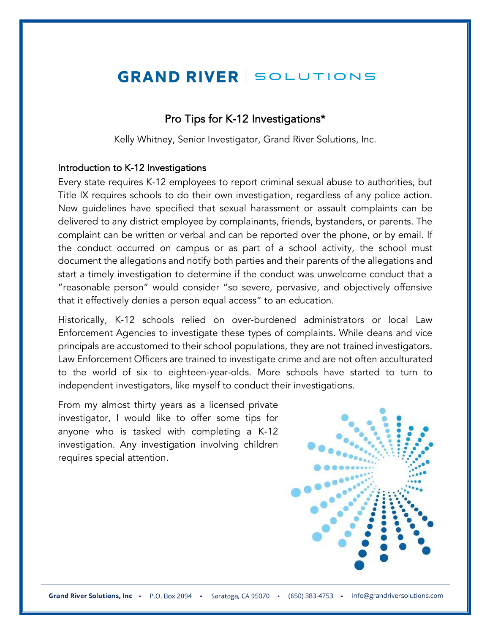# **GRAND RIVER SOLUTIONS**

## Pro Tips for K-12 Investigations\*

Kelly Whitney, Senior Investigator, Grand River Solutions, Inc.

#### Introduction to K-12 Investigations

Every state requires K-12 employees to report criminal sexual abuse to authorities, but Title IX requires schools to do their own investigation, regardless of any police action. New guidelines have specified that sexual harassment or assault complaints can be delivered to any district employee by complainants, friends, bystanders, or parents. The complaint can be written or verbal and can be reported over the phone, or by email. If the conduct occurred on campus or as part of a school activity, the school must document the allegations and notify both parties and their parents of the allegations and start a timely investigation to determine if the conduct was unwelcome conduct that a "reasonable person" would consider "so severe, pervasive, and objectively offensive that it effectively denies a person equal access" to an education.

Historically, K-12 schools relied on over-burdened administrators or local Law Enforcement Agencies to investigate these types of complaints. While deans and vice principals are accustomed to their school populations, they are not trained investigators. Law Enforcement Officers are trained to investigate crime and are not often acculturated to the world of six to eighteen-year-olds. More schools have started to turn to independent investigators, like myself to conduct their investigations.

From my almost thirty years as a licensed private investigator, I would like to offer some tips for anyone who is tasked with completing a K-12 investigation. Any investigation involving children requires special attention.

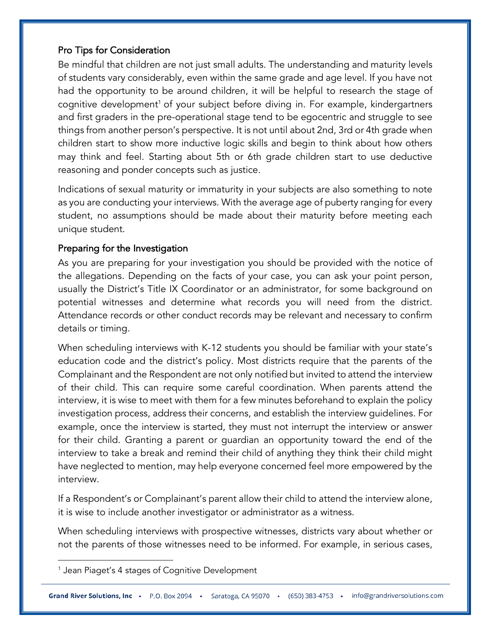## Pro Tips for Consideration

Be mindful that children are not just small adults. The understanding and maturity levels of students vary considerably, even within the same grade and age level. If you have not had the opportunity to be around children, it will be helpful to research the stage of cognitive development<sup>1</sup> of your subject before diving in. For example, kindergartners and first graders in the pre-operational stage tend to be egocentric and struggle to see things from another person's perspective. It is not until about 2nd, 3rd or 4th grade when children start to show more inductive logic skills and begin to think about how others may think and feel. Starting about 5th or 6th grade children start to use deductive reasoning and ponder concepts such as justice.

Indications of sexual maturity or immaturity in your subjects are also something to note as you are conducting your interviews. With the average age of puberty ranging for every student, no assumptions should be made about their maturity before meeting each unique student.

## Preparing for the Investigation

As you are preparing for your investigation you should be provided with the notice of the allegations. Depending on the facts of your case, you can ask your point person, usually the District's Title IX Coordinator or an administrator, for some background on potential witnesses and determine what records you will need from the district. Attendance records or other conduct records may be relevant and necessary to confirm details or timing.

When scheduling interviews with K-12 students you should be familiar with your state's education code and the district's policy. Most districts require that the parents of the Complainant and the Respondent are not only notified but invited to attend the interview of their child. This can require some careful coordination. When parents attend the interview, it is wise to meet with them for a few minutes beforehand to explain the policy investigation process, address their concerns, and establish the interview guidelines. For example, once the interview is started, they must not interrupt the interview or answer for their child. Granting a parent or guardian an opportunity toward the end of the interview to take a break and remind their child of anything they think their child might have neglected to mention, may help everyone concerned feel more empowered by the interview.

If a Respondent's or Complainant's parent allow their child to attend the interview alone, it is wise to include another investigator or administrator as a witness.

When scheduling interviews with prospective witnesses, districts vary about whether or not the parents of those witnesses need to be informed. For example, in serious cases,

 $^1$  Jean Piaget's 4 stages of Cognitive Development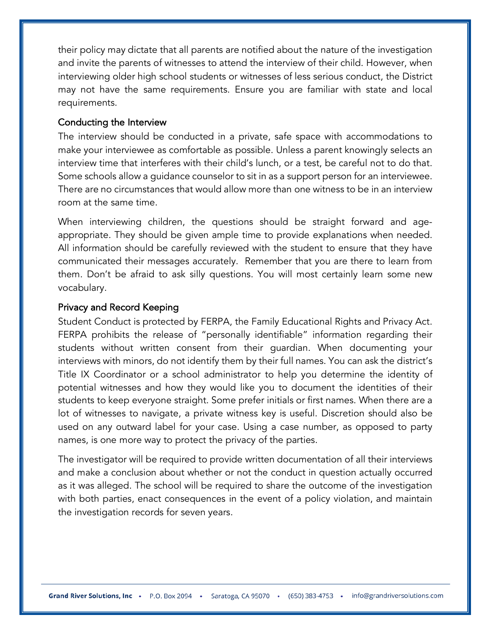their policy may dictate that all parents are notified about the nature of the investigation and invite the parents of witnesses to attend the interview of their child. However, when interviewing older high school students or witnesses of less serious conduct, the District may not have the same requirements. Ensure you are familiar with state and local requirements.

#### Conducting the Interview

The interview should be conducted in a private, safe space with accommodations to make your interviewee as comfortable as possible. Unless a parent knowingly selects an interview time that interferes with their child's lunch, or a test, be careful not to do that. Some schools allow a guidance counselor to sit in as a support person for an interviewee. There are no circumstances that would allow more than one witness to be in an interview room at the same time.

When interviewing children, the questions should be straight forward and ageappropriate. They should be given ample time to provide explanations when needed. All information should be carefully reviewed with the student to ensure that they have communicated their messages accurately. Remember that you are there to learn from them. Don't be afraid to ask silly questions. You will most certainly learn some new vocabulary.

#### Privacy and Record Keeping

Student Conduct is protected by FERPA, the Family Educational Rights and Privacy Act. FERPA prohibits the release of "personally identifiable" information regarding their students without written consent from their guardian. When documenting your interviews with minors, do not identify them by their full names. You can ask the district's Title IX Coordinator or a school administrator to help you determine the identity of potential witnesses and how they would like you to document the identities of their students to keep everyone straight. Some prefer initials or first names. When there are a lot of witnesses to navigate, a private witness key is useful. Discretion should also be used on any outward label for your case. Using a case number, as opposed to party names, is one more way to protect the privacy of the parties.

The investigator will be required to provide written documentation of all their interviews and make a conclusion about whether or not the conduct in question actually occurred as it was alleged. The school will be required to share the outcome of the investigation with both parties, enact consequences in the event of a policy violation, and maintain the investigation records for seven years.